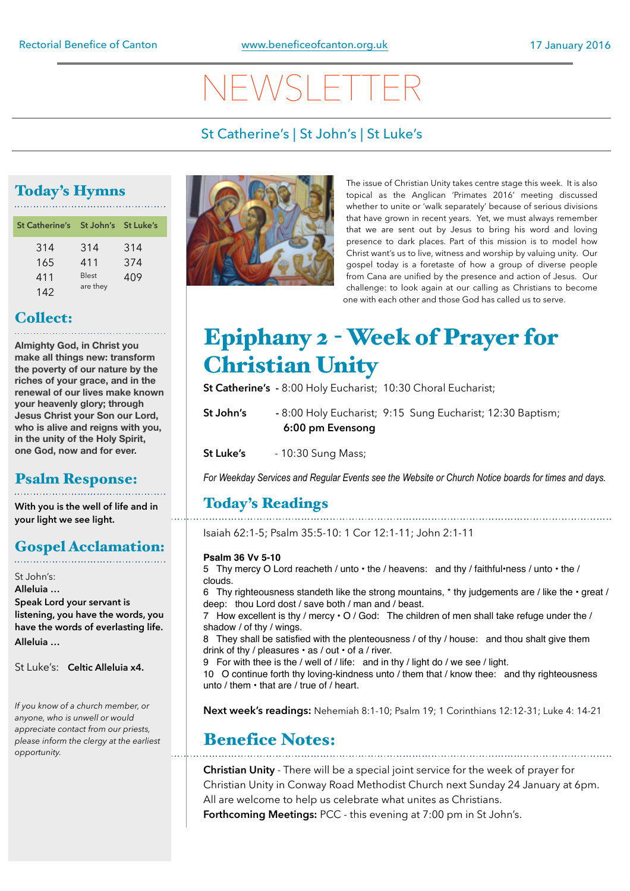# $\sqrt{2}$

### St Catherine's | St John's | St Luke's

### Today's Hymns

| St Catherine's St John's St Luke's |                          |            |
|------------------------------------|--------------------------|------------|
| 314<br>165                         | 314<br>411               | 314<br>374 |
| 411<br>142                         | <b>Blest</b><br>are they | 409        |

## Collect:

**Almighty God, in Christ you make all things new: transform the poverty of our nature by the riches of your grace, and in the renewal of our lives make known your heavenly glory; through Jesus Christ your Son our Lord, who is alive and reigns with you, in the unity of the Holy Spirit, one God, now and for ever.**

### Psalm Response:

**With you is the well of life and in your light we see light.** 

## Gospel Acclamation:

St John's: **Alleluia … Speak Lord your servant is listening, you have the words, you have the words of everlasting life. Alleluia …** 

St Luke's: **Celtic Alleluia x4.** 

*If you know of a church member, or anyone, who is unwell or would appreciate contact from our priests, please inform the clergy at the earliest opportunity.* 



The issue of Christian Unity takes centre stage this week. It is also topical as the Anglican 'Primates 2016' meeting discussed whether to unite or 'walk separately' because of serious divisions that have grown in recent years. Yet, we must always remember that we are sent out by Jesus to bring his word and loving presence to dark places. Part of this mission is to model how Christ want's us to live, witness and worship by valuing unity. Our gospel today is a foretaste of how a group of diverse people from Cana are unified by the presence and action of Jesus. Our challenge: to look again at our calling as Christians to become one with each other and those God has called us to serve.

## Epiphany 2 - Week of Prayer for Christian Unity

**St Catherine's -** 8:00 Holy Eucharist; 10:30 Choral Eucharist;

- **St John's** 8:00 Holy Eucharist; 9:15 Sung Eucharist; 12:30 Baptism; **6:00 pm Evensong**
- **St Luke's**  10:30 Sung Mass;

*For Weekday Services and Regular Events see the Website or Church Notice boards for times and days.*

## Today's Readings

Isaiah 62:1-5; Psalm 35:5-10: 1 Cor 12:1-11; John 2:1-11

#### **Psalm 36 Vv 5-10**

5 Thy mercy O Lord reacheth / unto • the / heavens: and thy / faithful•ness / unto • the / clouds.

6 Thy righteousness standeth like the strong mountains,  $*$  thy judgements are / like the  $\cdot$  great / deep: thou Lord dost / save both / man and / beast.

7 How excellent is thy / mercy  $\cdot$  O / God: The children of men shall take refuge under the / shadow / of thy / wings.

8 They shall be satisfied with the plenteousness / of thy / house: and thou shalt give them drink of thy / pleasures • as / out • of a / river.

9 For with thee is the / well of / life: and in thy / light do / we see / light.

10 O continue forth thy loving-kindness unto / them that / know thee: and thy righteousness unto / them • that are / true of / heart.

**Next week's readings:** Nehemiah 8:1-10; Psalm 19; 1 Corinthians 12:12-31; Luke 4: 14-21

### Benefice Notes:

**Christian Unity** - There will be a special joint service for the week of prayer for Christian Unity in Conway Road Methodist Church next Sunday 24 January at 6pm. All are welcome to help us celebrate what unites as Christians. **Forthcoming Meetings:** PCC - this evening at 7:00 pm in St John's.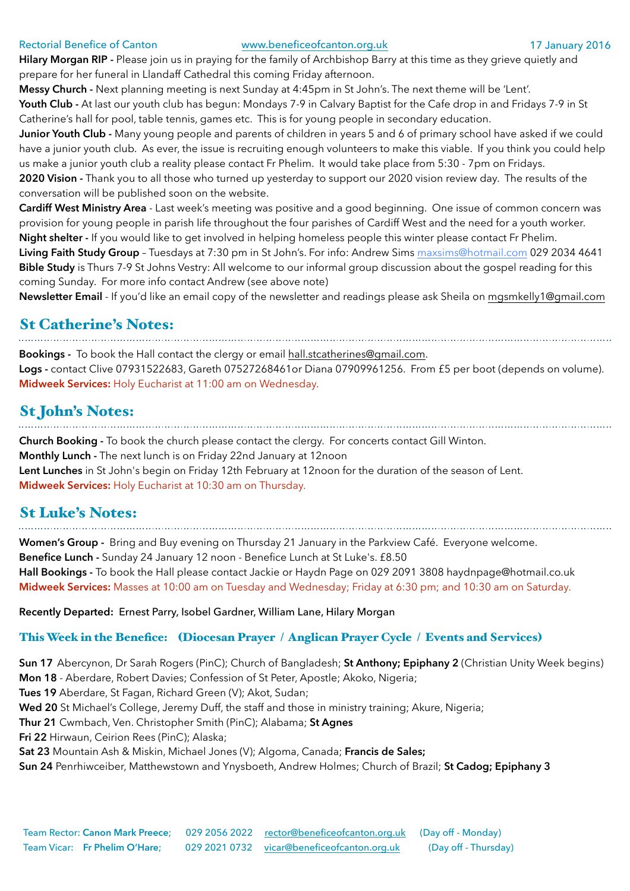#### Rectorial Benefice of Canton [www.beneficeofcanton.org.uk](http://www.beneficeofcanton.org.uk) 17 January 2016

**Hilary Morgan RIP -** Please join us in praying for the family of Archbishop Barry at this time as they grieve quietly and prepare for her funeral in Llandaff Cathedral this coming Friday afternoon.

**Messy Church -** Next planning meeting is next Sunday at 4:45pm in St John's. The next theme will be 'Lent'.

**Youth Club -** At last our youth club has begun: Mondays 7-9 in Calvary Baptist for the Cafe drop in and Fridays 7-9 in St Catherine's hall for pool, table tennis, games etc. This is for young people in secondary education.

**Junior Youth Club -** Many young people and parents of children in years 5 and 6 of primary school have asked if we could have a junior youth club. As ever, the issue is recruiting enough volunteers to make this viable. If you think you could help us make a junior youth club a reality please contact Fr Phelim. It would take place from 5:30 - 7pm on Fridays.

**2020 Vision -** Thank you to all those who turned up yesterday to support our 2020 vision review day. The results of the conversation will be published soon on the website.

**Cardiff West Ministry Area** - Last week's meeting was positive and a good beginning. One issue of common concern was provision for young people in parish life throughout the four parishes of Cardiff West and the need for a youth worker. **Night shelter -** If you would like to get involved in helping homeless people this winter please contact Fr Phelim.

**Living Faith Study Group** – Tuesdays at 7:30 pm in St John's. For info: Andrew Sims [maxsims@hotmail.com](mailto:maxsims@hotmail.com) 029 2034 4641 **Bible Study** is Thurs 7-9 St Johns Vestry: All welcome to our informal group discussion about the gospel reading for this coming Sunday. For more info contact Andrew (see above note)

**Newsletter Email** - If you'd like an email copy of the newsletter and readings please ask Sheila on [mgsmkelly1@gmail.com](mailto:mgsmkelly1@gmail.com) 

#### St Catherine's Notes:

**Bookings -** To book the Hall contact the clergy or email [hall.stcatherines@gmail.com.](mailto:hall.stcatherines@gmail.com) **Logs -** contact Clive 07931522683, Gareth 07527268461or Diana 07909961256. From £5 per boot (depends on volume). **Midweek Services:** Holy Eucharist at 11:00 am on Wednesday.

## St John's Notes:

**Church Booking -** To book the church please contact the clergy. For concerts contact Gill Winton. **Monthly Lunch -** The next lunch is on Friday 22nd January at 12noon **Lent Lunches** in St John's begin on Friday 12th February at 12noon for the duration of the season of Lent. **Midweek Services:** Holy Eucharist at 10:30 am on Thursday.

### St Luke's Notes:

**Women's Group -** Bring and Buy evening on Thursday 21 January in the Parkview Café. Everyone welcome. **Benefice Lunch -** Sunday 24 January 12 noon - Benefice Lunch at St Luke's. £8.50 **Hall Bookings -** To book the Hall please contact Jackie or Haydn Page on 029 2091 3808 [haydnpage@hotmail.co.uk](mailto:haydnpage@hotmail.co.uk) **Midweek Services:** Masses at 10:00 am on Tuesday and Wednesday; Friday at 6:30 pm; and 10:30 am on Saturday.

**Recently Departed:** Ernest Parry, Isobel Gardner, William Lane, Hilary Morgan

#### This Week in the Benefice: (Diocesan Prayer / Anglican Prayer Cycle / Events and Services)

**Sun 17** Abercynon, Dr Sarah Rogers (PinC); Church of Bangladesh; **St Anthony; Epiphany 2** (Christian Unity Week begins) **Mon 18** - Aberdare, Robert Davies; Confession of St Peter, Apostle; Akoko, Nigeria;

**Tues 19** Aberdare, St Fagan, Richard Green (V); Akot, Sudan;

**Wed 20** St Michael's College, Jeremy Duff, the staff and those in ministry training; Akure, Nigeria;

**Thur 21** Cwmbach, Ven. Christopher Smith (PinC); Alabama; **St Agnes** 

**Fri 22** Hirwaun, Ceirion Rees (PinC); Alaska;

**Sat 23** Mountain Ash & Miskin, Michael Jones (V); Algoma, Canada; **Francis de Sales;** 

**Sun 24** Penrhiwceiber, Matthewstown and Ynysboeth, Andrew Holmes; Church of Brazil; **St Cadog; Epiphany 3**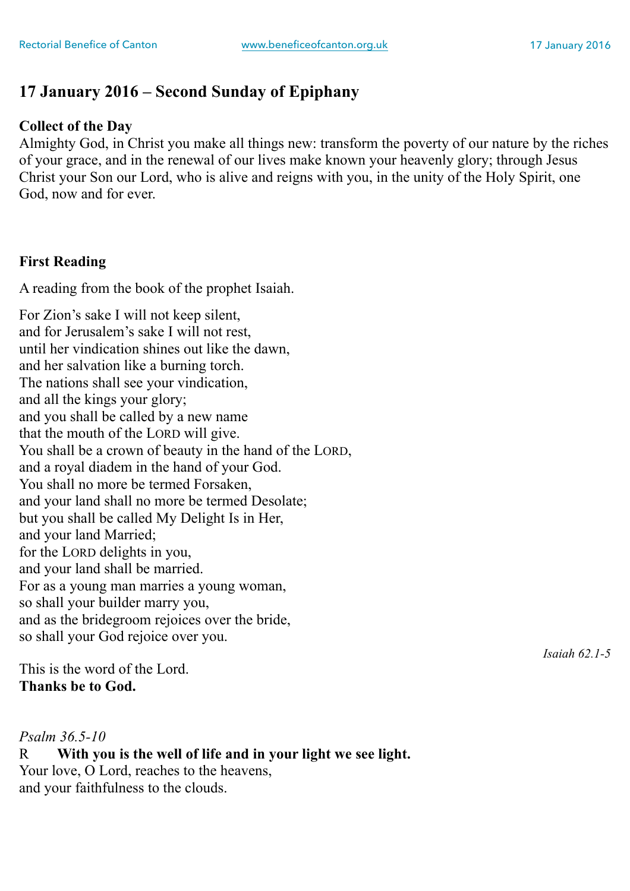### **17 January 2016 – Second Sunday of Epiphany**

#### **Collect of the Day**

Almighty God, in Christ you make all things new: transform the poverty of our nature by the riches of your grace, and in the renewal of our lives make known your heavenly glory; through Jesus Christ your Son our Lord, who is alive and reigns with you, in the unity of the Holy Spirit, one God, now and for ever.

#### **First Reading**

A reading from the book of the prophet Isaiah.

For Zion's sake I will not keep silent, and for Jerusalem's sake I will not rest, until her vindication shines out like the dawn, and her salvation like a burning torch. The nations shall see your vindication, and all the kings your glory; and you shall be called by a new name that the mouth of the LORD will give. You shall be a crown of beauty in the hand of the LORD, and a royal diadem in the hand of your God. You shall no more be termed Forsaken, and your land shall no more be termed Desolate; but you shall be called My Delight Is in Her, and your land Married; for the LORD delights in you, and your land shall be married. For as a young man marries a young woman, so shall your builder marry you, and as the bridegroom rejoices over the bride, so shall your God rejoice over you.

This is the word of the Lord. **Thanks be to God.** 

*Psalm 36.5-10*  R **With you is the well of life and in your light we see light.**  Your love, O Lord, reaches to the heavens, and your faithfulness to the clouds.

*Isaiah 62.1-5*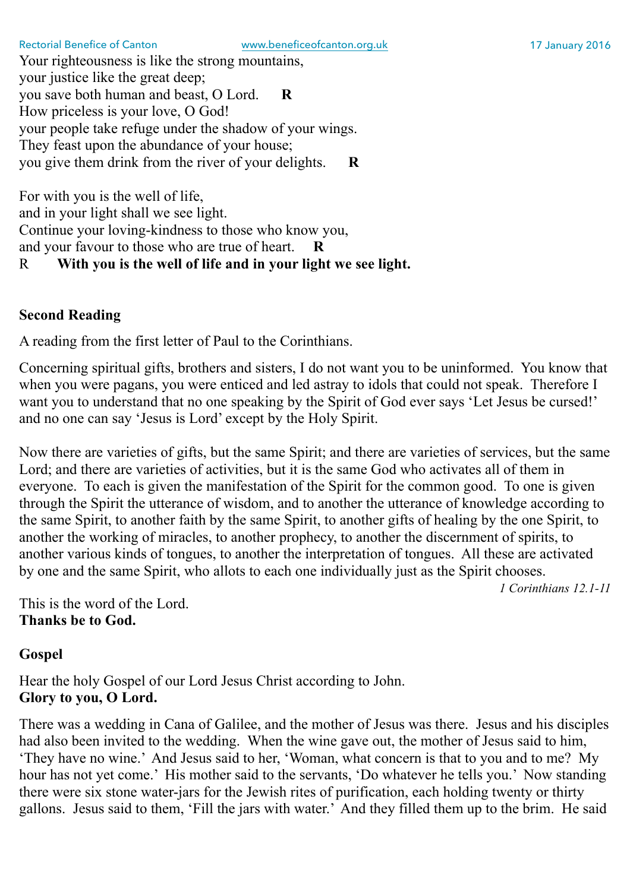Your righteousness is like the strong mountains, your justice like the great deep; you save both human and beast, O Lord. **R**  How priceless is your love, O God! your people take refuge under the shadow of your wings. They feast upon the abundance of your house; you give them drink from the river of your delights. **R** 

For with you is the well of life, and in your light shall we see light. Continue your loving-kindness to those who know you, and your favour to those who are true of heart. **R**  R **With you is the well of life and in your light we see light.** 

**Second Reading** 

A reading from the first letter of Paul to the Corinthians.

Concerning spiritual gifts, brothers and sisters, I do not want you to be uninformed. You know that when you were pagans, you were enticed and led astray to idols that could not speak. Therefore I want you to understand that no one speaking by the Spirit of God ever says 'Let Jesus be cursed!' and no one can say 'Jesus is Lord' except by the Holy Spirit.

Now there are varieties of gifts, but the same Spirit; and there are varieties of services, but the same Lord; and there are varieties of activities, but it is the same God who activates all of them in everyone. To each is given the manifestation of the Spirit for the common good. To one is given through the Spirit the utterance of wisdom, and to another the utterance of knowledge according to the same Spirit, to another faith by the same Spirit, to another gifts of healing by the one Spirit, to another the working of miracles, to another prophecy, to another the discernment of spirits, to another various kinds of tongues, to another the interpretation of tongues. All these are activated by one and the same Spirit, who allots to each one individually just as the Spirit chooses.

*1 Corinthians 12.1-11* 

This is the word of the Lord. **Thanks be to God.** 

#### **Gospel**

Hear the holy Gospel of our Lord Jesus Christ according to John. **Glory to you, O Lord.** 

There was a wedding in Cana of Galilee, and the mother of Jesus was there. Jesus and his disciples had also been invited to the wedding. When the wine gave out, the mother of Jesus said to him, 'They have no wine.' And Jesus said to her, 'Woman, what concern is that to you and to me? My hour has not yet come.' His mother said to the servants, 'Do whatever he tells you.' Now standing there were six stone water-jars for the Jewish rites of purification, each holding twenty or thirty gallons. Jesus said to them, 'Fill the jars with water.' And they filled them up to the brim. He said